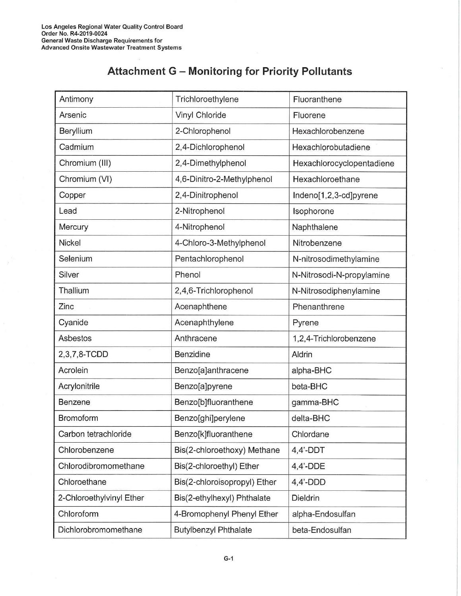## **Attachment G - Monitoring for Priority Pollutants**

| Antimony                 | Trichloroethylene            | Fluoranthene              |
|--------------------------|------------------------------|---------------------------|
| Arsenic                  | Vinyl Chloride               | Fluorene                  |
| Beryllium                | 2-Chlorophenol               | Hexachlorobenzene         |
| Cadmium                  | 2,4-Dichlorophenol           | Hexachlorobutadiene       |
| Chromium (III)           | 2,4-Dimethylphenol           | Hexachlorocyclopentadiene |
| Chromium (VI)            | 4,6-Dinitro-2-Methylphenol   | Hexachloroethane          |
| Copper                   | 2,4-Dinitrophenol            | Indeno[1,2,3-cd]pyrene    |
| Lead                     | 2-Nitrophenol                | Isophorone                |
| Mercury                  | 4-Nitrophenol                | Naphthalene               |
| Nickel                   | 4-Chloro-3-Methylphenol      | Nitrobenzene              |
| Selenium                 | Pentachlorophenol            | N-nitrosodimethylamine    |
| Silver                   | Phenol                       | N-Nitrosodi-N-propylamine |
| Thallium                 | 2,4,6-Trichlorophenol        | N-Nitrosodiphenylamine    |
| Zinc                     | Acenaphthene                 | Phenanthrene              |
| Cyanide                  | Acenaphthylene               | Pyrene                    |
| Asbestos                 | Anthracene                   | 1,2,4-Trichlorobenzene    |
| 2,3,7,8-TCDD             | Benzidine                    | Aldrin                    |
| Acrolein                 | Benzo[a]anthracene           | alpha-BHC                 |
| Acrylonitrile            | Benzo[a]pyrene               | beta-BHC                  |
| Benzene                  | Benzo[b]fluoranthene         | gamma-BHC                 |
| Bromoform                | Benzo[ghi]perylene           | delta-BHC                 |
| Carbon tetrachloride     | Benzo[k]fluoranthene         | Chlordane                 |
| Chlorobenzene            | Bis(2-chloroethoxy) Methane  | $4,4'$ -DDT               |
| Chlorodibromomethane     | Bis(2-chloroethyl) Ether     | $4,4'$ -DDE               |
| Chloroethane             | Bis(2-chloroisopropyl) Ether | $4,4'$ -DDD               |
| 2-Chloroethylvinyl Ether | Bis(2-ethylhexyl) Phthalate  | Dieldrin                  |
| Chloroform               | 4-Bromophenyl Phenyl Ether   | alpha-Endosulfan          |
| Dichlorobromomethane     | <b>Butylbenzyl Phthalate</b> | beta-Endosulfan           |